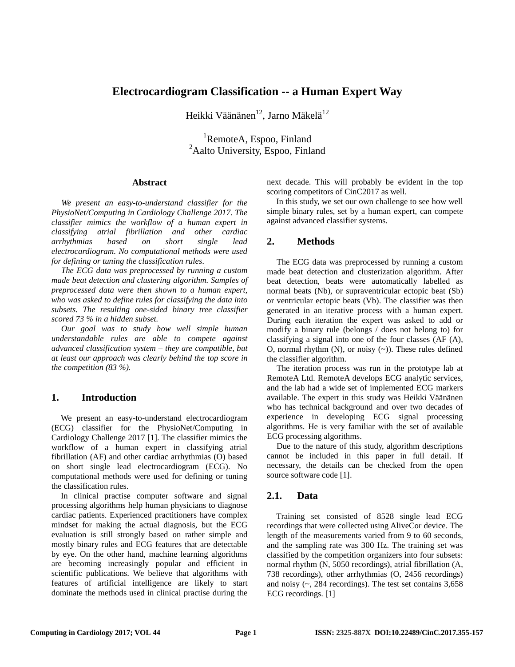# **Electrocardiogram Classification -- a Human Expert Way**

Heikki Väänänen<sup>12</sup>, Jarno Mäkelä<sup>12</sup>

<sup>1</sup>RemoteA, Espoo, Finland <sup>2</sup>Aalto University, Espoo, Finland

### **Abstract**

*We present an easy-to-understand classifier for the PhysioNet/Computing in Cardiology Challenge 2017. The classifier mimics the workflow of a human expert in classifying atrial fibrillation and other cardiac arrhythmias based on short single lead electrocardiogram. No computational methods were used for defining or tuning the classification rules.*

*The ECG data was preprocessed by running a custom made beat detection and clustering algorithm. Samples of preprocessed data were then shown to a human expert, who was asked to define rules for classifying the data into subsets. The resulting one-sided binary tree classifier scored 73 % in a hidden subset.*

*Our goal was to study how well simple human understandable rules are able to compete against advanced classification system – they are compatible, but at least our approach was clearly behind the top score in the competition (83 %).*

### **1. Introduction**

We present an easy-to-understand electrocardiogram (ECG) classifier for the PhysioNet/Computing in Cardiology Challenge 2017 [1]. The classifier mimics the workflow of a human expert in classifying atrial fibrillation (AF) and other cardiac arrhythmias (O) based on short single lead electrocardiogram (ECG). No computational methods were used for defining or tuning the classification rules.

In clinical practise computer software and signal processing algorithms help human physicians to diagnose cardiac patients. Experienced practitioners have complex mindset for making the actual diagnosis, but the ECG evaluation is still strongly based on rather simple and mostly binary rules and ECG features that are detectable by eye. On the other hand, machine learning algorithms are becoming increasingly popular and efficient in scientific publications. We believe that algorithms with features of artificial intelligence are likely to start dominate the methods used in clinical practise during the next decade. This will probably be evident in the top scoring competitors of CinC2017 as well.

In this study, we set our own challenge to see how well simple binary rules, set by a human expert, can compete against advanced classifier systems.

## **2. Methods**

The ECG data was preprocessed by running a custom made beat detection and clusterization algorithm. After beat detection, beats were automatically labelled as normal beats (Nb), or supraventricular ectopic beat (Sb) or ventricular ectopic beats (Vb). The classifier was then generated in an iterative process with a human expert. During each iteration the expert was asked to add or modify a binary rule (belongs / does not belong to) for classifying a signal into one of the four classes (AF (A), O, normal rhythm  $(N)$ , or noisy  $(\sim)$ ). These rules defined the classifier algorithm.

The iteration process was run in the prototype lab at RemoteA Ltd. RemoteA develops ECG analytic services, and the lab had a wide set of implemented ECG markers available. The expert in this study was Heikki Väänänen who has technical background and over two decades of experience in developing ECG signal processing algorithms. He is very familiar with the set of available ECG processing algorithms.

Due to the nature of this study, algorithm descriptions cannot be included in this paper in full detail. If necessary, the details can be checked from the open source software code [1].

### **2.1. Data**

Training set consisted of 8528 single lead ECG recordings that were collected using AliveCor device. The length of the measurements varied from 9 to 60 seconds, and the sampling rate was 300 Hz. The training set was classified by the competition organizers into four subsets: normal rhythm (N, 5050 recordings), atrial fibrillation (A, 738 recordings), other arrhythmias (O, 2456 recordings) and noisy  $\left(\sim, 284$  recordings). The test set contains 3,658 ECG recordings. [1]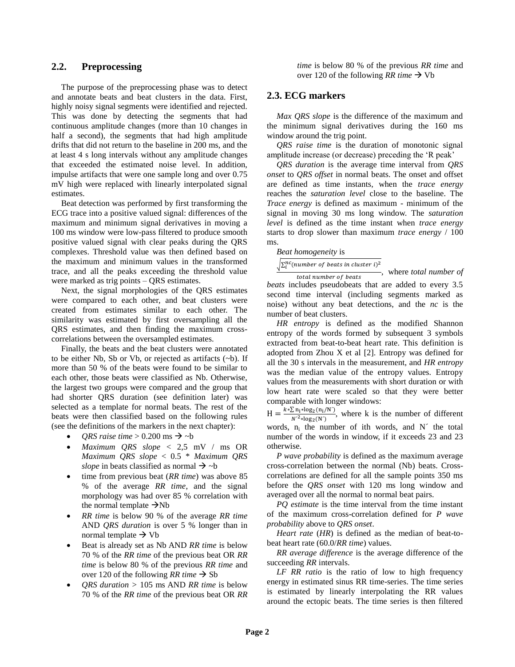# **2.2. Preprocessing**

The purpose of the preprocessing phase was to detect and annotate beats and beat clusters in the data. First, highly noisy signal segments were identified and rejected. This was done by detecting the segments that had continuous amplitude changes (more than 10 changes in half a second), the segments that had high amplitude drifts that did not return to the baseline in 200 ms, and the at least 4 s long intervals without any amplitude changes that exceeded the estimated noise level. In addition, impulse artifacts that were one sample long and over 0.75 mV high were replaced with linearly interpolated signal estimates.

Beat detection was performed by first transforming the ECG trace into a positive valued signal: differences of the maximum and minimum signal derivatives in moving a 100 ms window were low-pass filtered to produce smooth positive valued signal with clear peaks during the QRS complexes. Threshold value was then defined based on the maximum and minimum values in the transformed trace, and all the peaks exceeding the threshold value were marked as trig points – QRS estimates.

Next, the signal morphologies of the QRS estimates were compared to each other, and beat clusters were created from estimates similar to each other. The similarity was estimated by first oversampling all the QRS estimates, and then finding the maximum crosscorrelations between the oversampled estimates.

Finally, the beats and the beat clusters were annotated to be either Nb, Sb or Vb, or rejected as artifacts (~b). If more than 50 % of the beats were found to be similar to each other, those beats were classified as Nb. Otherwise, the largest two groups were compared and the group that had shorter QRS duration (see definition later) was selected as a template for normal beats. The rest of the beats were then classified based on the following rules (see the definitions of the markers in the next chapter):

- *QRS raise time*  $> 0.200$  ms  $\rightarrow$  ~b
- *Maximum QRS slope* < 2,5 mV / ms OR *Maximum QRS slope* < 0.5 \* *Maximum QRS slope* in beats classified as normal  $\rightarrow \sim b$
- time from previous beat (*RR time*) was above 85 % of the average *RR time*, and the signal morphology was had over 85 % correlation with the normal template  $\rightarrow$ Nb
- *RR time* is below 90 % of the average *RR time*  AND *QRS duration* is over 5 % longer than in normal template  $\rightarrow$  Vb
- Beat is already set as Nb AND *RR time* is below 70 % of the *RR time* of the previous beat OR *RR time* is below 80 % of the previous *RR time* and over 120 of the following *RR time*  $\rightarrow$  Sb
- *QRS duration >* 105 ms AND *RR time* is below 70 % of the *RR time* of the previous beat OR *RR*

*time* is below 80 % of the previous *RR time* and over 120 of the following *RR time*  $\rightarrow$  Vb

### **2.3. ECG markers**

*Max QRS slope* is the difference of the maximum and the minimum signal derivatives during the 160 ms window around the trig point.

*QRS raise time* is the duration of monotonic signal amplitude increase (or decrease) preceding the 'R peak'

*QRS duration* is the average time interval from *QRS onset* to *QRS offset* in normal beats. The onset and offset are defined as time instants, when the *trace energy* reaches the *saturation level* close to the baseline. The *Trace energy* is defined as maximum - minimum of the signal in moving 30 ms long window. The *saturation level* is defined as the time instant when *trace energy* starts to drop slower than maximum *trace energy* / 100 ms.

*Beat homogeneity* is

 $\sqrt{\Sigma_i^n}$ 

total number of beats , where *total number of beats* includes pseudobeats that are added to every 3.5 second time interval (including segments marked as noise) without any beat detections, and the *nc* is the number of beat clusters.

*HR entropy* is defined as the modified Shannon entropy of the words formed by subsequent 3 symbols extracted from beat-to-beat heart rate. This definition is adopted from Zhou X et al [2]. Entropy was defined for all the 30 s intervals in the measurement, and *HR entropy* was the median value of the entropy values. Entropy values from the measurements with short duration or with low heart rate were scaled so that they were better comparable with longer windows:

 $H = \frac{k}{2}$  $\frac{\sum_{i=1}^{n_1} \log_2(\ln_1/N)}{N'^2 * \log_2(N')}$ , where k is the number of different words,  $n_i$  the number of ith words, and N<sup> $\prime$ </sup> the total number of the words in window, if it exceeds 23 and 23 otherwise.

*P wave probability* is defined as the maximum average cross-correlation between the normal (Nb) beats. Crosscorrelations are defined for all the sample points 350 ms before the *QRS onset* with 120 ms long window and averaged over all the normal to normal beat pairs.

*PQ estimate* is the time interval from the time instant of the maximum cross-correlation defined for *P wave probability* above to *QRS onset*.

*Heart rate* (*HR*) is defined as the median of beat-tobeat heart rate (60.0/*RR time*) values.

*RR average difference* is the average difference of the succeeding *RR* intervals.

*LF RR ratio* is the ratio of low to high frequency energy in estimated sinus RR time-series. The time series is estimated by linearly interpolating the RR values around the ectopic beats. The time series is then filtered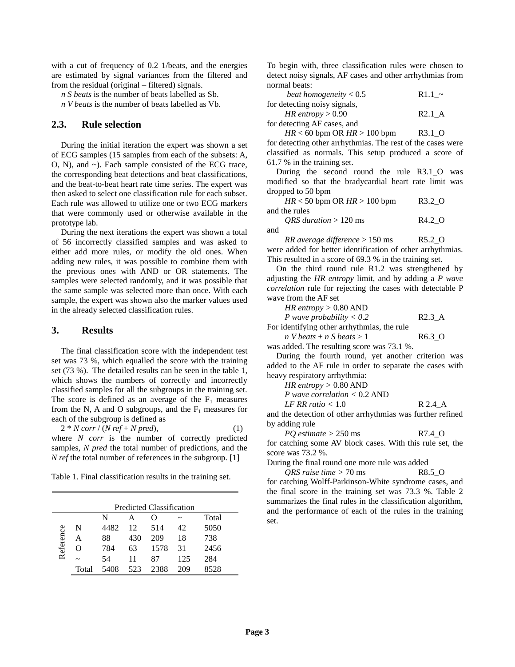with a cut of frequency of 0.2 1/beats, and the energies are estimated by signal variances from the filtered and from the residual (original – filtered) signals.

*n S beats* is the number of beats labelled as Sb.

*n V beats* is the number of beats labelled as Vb.

## **2.3. Rule selection**

During the initial iteration the expert was shown a set of ECG samples (15 samples from each of the subsets: A, O, N), and ~). Each sample consisted of the ECG trace, the corresponding beat detections and beat classifications, and the beat-to-beat heart rate time series. The expert was then asked to select one classification rule for each subset. Each rule was allowed to utilize one or two ECG markers that were commonly used or otherwise available in the prototype lab.

During the next iterations the expert was shown a total of 56 incorrectly classified samples and was asked to either add more rules, or modify the old ones. When adding new rules, it was possible to combine them with the previous ones with AND or OR statements. The samples were selected randomly, and it was possible that the same sample was selected more than once. With each sample, the expert was shown also the marker values used in the already selected classification rules.

### **3. Results**

The final classification score with the independent test set was 73 %, which equalled the score with the training set (73 %). The detailed results can be seen in the table 1, which shows the numbers of correctly and incorrectly classified samples for all the subgroups in the training set. The score is defined as an average of the  $F_1$  measures from the N, A and O subgroups, and the  $F_1$  measures for each of the subgroup is defined as

 $2 * N corr / (N ref + N pred),$  (1) where *N corr* is the number of correctly predicted samples, *N pred* the total number of predictions, and the *N ref* the total number of references in the subgroup. [1]

Table 1. Final classification results in the training set.

|           | <b>Predicted Classification</b> |      |     |      |                       |       |
|-----------|---------------------------------|------|-----|------|-----------------------|-------|
|           |                                 | N    |     |      | $\tilde{\phantom{a}}$ | Total |
|           | N                               | 4482 | 12  | 514  | 42                    | 5050  |
|           | А                               | 88   | 430 | 209  | 18                    | 738   |
| Reference | Ω                               | 784  | 63  | 1578 | 31                    | 2456  |
|           | ~                               | 54   | 11  | 87   | 125                   | 284   |
|           | Total                           | 5408 | 523 | 2388 | 209                   | 8528  |

To begin with, three classification rules were chosen to detect noisy signals, AF cases and other arrhythmias from normal beats:

| beat homogeneity $< 0.5$     | $R1.1 \sim$        |
|------------------------------|--------------------|
| for detecting noisy signals, |                    |
| HR entropy $> 0.90$          | R <sub>2.1</sub> A |
| for detecting AF cases, and  |                    |

 $HR < 60$  bpm OR  $HR > 100$  bpm R3.1\_O for detecting other arrhythmias. The rest of the cases were classified as normals. This setup produced a score of

61.7 % in the training set. During the second round the rule R3.1\_O was

modified so that the bradycardial heart rate limit was dropped to 50 bpm

| $HR < 50$ bpm OR $HR > 100$ bpm | R3.2 O             |
|---------------------------------|--------------------|
| and the rules                   |                    |
| <i>ORS</i> duration $> 120$ ms  | R <sub>4.2</sub> O |
| and                             |                    |

*RR* average difference  $> 150$  ms  $R5.2$  O were added for better identification of other arrhythmias. This resulted in a score of 69.3 % in the training set.

On the third round rule R1.2 was strengthened by adjusting the *HR entropy* limit, and by adding a *P wave correlation* rule for rejecting the cases with detectable P wave from the AF set

| HR entropy $> 0.80$ AND                     |                    |
|---------------------------------------------|--------------------|
| <i>P</i> wave probability $< 0.2$           | R <sub>2.3</sub> A |
| For identifying other arrhythmias, the rule |                    |
| $n V$ beats + $n S$ beats > 1               | R6.3 O             |

was added. The resulting score was 73.1 %.

During the fourth round, yet another criterion was added to the AF rule in order to separate the cases with heavy respiratory arrhythmia:

 *HR entropy >* 0.80 AND  *P wave correlation <* 0.2 AND

| LF RR ratio $< 1.0$ |                                                                                                                  | R 2.4 A |
|---------------------|------------------------------------------------------------------------------------------------------------------|---------|
|                     | $1.41 \times 1.4$ . The set of $\sim 1.1$ is a set of $\sim 1.1$ in the set of $\sim 1.1$ is a set of $\sim 0.1$ |         |

and the detection of other arrhythmias was further refined by adding rule

 *PQ estimate >* 250 ms R7.4\_O for catching some AV block cases. With this rule set, the score was 73.2 %.

During the final round one more rule was added

 *QRS raise time >* 70 ms R8.5\_O for catching Wolff-Parkinson-White syndrome cases, and the final score in the training set was 73.3 %. Table 2 summarizes the final rules in the classification algorithm, and the performance of each of the rules in the training set.